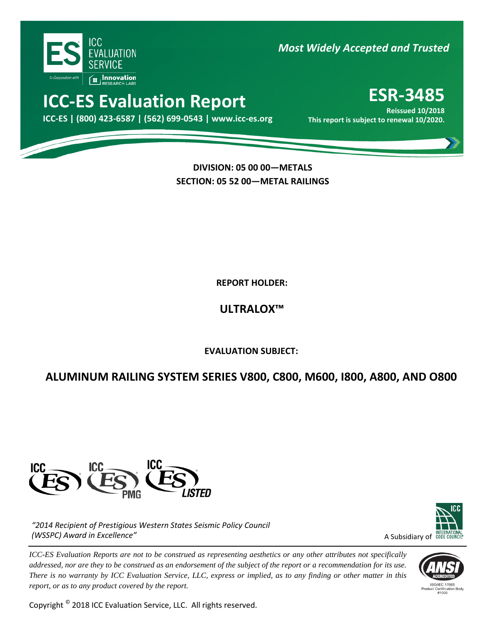

*Most Widely Accepted and Trusted* 

# **ICC-ES Evaluation Report ESR-3485**

000 **ICC-ES | (800) 423-6587 | (562) 699-0543 | www.icc-es.org This report is subject to renewal 10/2020. Reissued 10/2018**

> **DIVISION: 05 00 00—METALS SECTION: 05 52 00—METAL RAILINGS**

> > **REPORT HOLDER:**

**ULTRALOX™**

**EVALUATION SUBJECT:**

## **ALUMINUM RAILING SYSTEM SERIES V800, C800, M600, I800, A800, AND O800**



*"2014 Recipient of Prestigious Western States Seismic Policy Council (WSSPC) Award in Excellence"*

*ICC-ES Evaluation Reports are not to be construed as representing aesthetics or any other attributes not specifically addressed, nor are they to be construed as an endorsement of the subject of the report or a recommendation for its use. There is no warranty by ICC Evaluation Service, LLC, express or implied, as to any finding or other matter in this report, or as to any product covered by the report.*

Copyright © 2018 ICC Evaluation Service, LLC. All rights reserved.



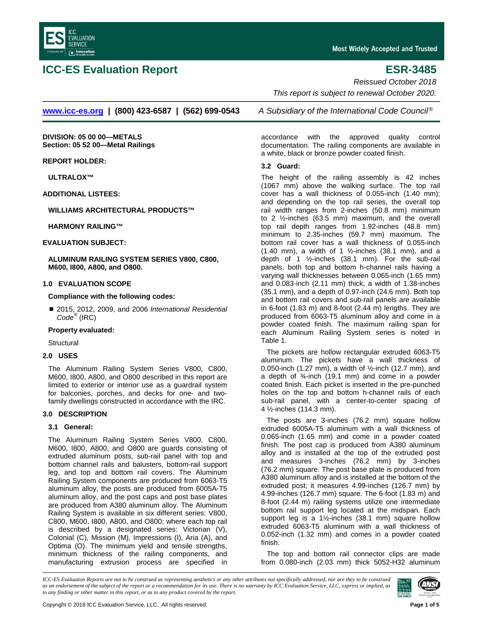

## **ICC-ES Evaluation Report ESR-3485**

*Reissued October 2018*

*This report is subject to renewal October 2020.*

**[www.icc-es.org](http://www.icc-es.org/) | (800) 423-6587 | (562) 699-0543** *A Subsidiary of the International Code Council* ®

**DIVISION: 05 00 00—METALS Section: 05 52 00—Metal Railings**

**REPORT HOLDER:**

**ULTRALOX™**

**ADDITIONAL LISTEES:**

**WILLIAMS ARCHITECTURAL PRODUCTS™**

**HARMONY RAILING™**

**EVALUATION SUBJECT:**

**ALUMINUM RAILING SYSTEM SERIES V800, C800, M600, I800, A800, and O800.**

#### **1.0 EVALUATION SCOPE**

**Compliance with the following codes:**

 2015, 2012, 2009, and 2006 *International Residential Code®* (IRC)

### **Property evaluated:**

**Structural** 

#### **2.0 USES**

The Aluminum Railing System Series V800, C800, M600, I800, A800, and O800 described in this report are limited to exterior or interior use as a guardrail system for balconies, porches, and decks for one- and twofamily dwellings constructed in accordance with the IRC.

### **3.0 DESCRIPTION**

### **3.1 General:**

The Aluminum Railing System Series V800, C800, M600, I800, A800, and O800 are guards consisting of extruded aluminum posts, sub-rail panel with top and bottom channel rails and balusters, bottom-rail support leg, and top and bottom rail covers. The Aluminum Railing System components are produced from 6063-T5 aluminum alloy, the posts are produced from 6005A-T5 aluminum alloy, and the post caps and post base plates are produced from A380 aluminum alloy. The Aluminum Railing System is available in six different series: V800, C800, M600, I800, A800, and O800; where each top rail is described by a designated series: Victorian (V), Colonial (C), Mission (M), Impressions (I), Aria (A), and Optima (O). The minimum yield and tensile strengths, minimum thickness of the railing components, and manufacturing extrusion process are specified in accordance with the approved quality control documentation. The railing components are available in a white, black or bronze powder coated finish.

### **3.2 Guard:**

The height of the railing assembly is 42 inches (1067 mm) above the walking surface. The top rail cover has a wall thickness of 0.055-inch (1.40 mm); and depending on the top rail series, the overall top rail width ranges from 2-inches (50.8 mm) minimum to 2 ½-inches (63.5 mm) maximum, and the overall top rail depth ranges from 1.92-inches (48.8 mm) minimum to 2.35-inches (59.7 mm) maximum. The bottom rail cover has a wall thickness of 0.055-inch (1.40 mm), a width of 1  $\frac{1}{2}$ -inches (38.1 mm), and a depth of 1 ½-inches (38.1 mm). For the sub-rail panels, both top and bottom h-channel rails having a varying wall thicknesses between 0.065-inch (1.65 mm) and 0.083-inch (2.11 mm) thick, a width of 1.38-inches (35.1 mm), and a depth of 0.97-inch (24.6 mm). Both top and bottom rail covers and sub-rail panels are available in 6-foot (1.83 m) and 8-foot (2.44 m) lengths. They are produced from 6063-T5 aluminum alloy and come in a powder coated finish. The maximum railing span for each Aluminum Railing System series is noted in Table 1.

The pickets are hollow rectangular extruded 6063-T5 aluminum. The pickets have a wall thickness of 0.050-inch (1.27 mm), a width of  $\frac{1}{2}$ -inch (12.7 mm), and a depth of ¾-inch (19.1 mm) and come in a powder coated finish. Each picket is inserted in the pre-punched holes on the top and bottom h-channel rails of each sub-rail panel, with a center-to-center spacing of 4 ½-inches (114.3 mm).

The posts are 3-inches (76.2 mm) square hollow extruded 6005A-T5 aluminum with a wall thickness of 0.065-inch (1.65 mm) and come in a powder coated finish. The post cap is produced from A380 aluminum alloy and is installed at the top of the extruded post and measures 3-inches (76.2 mm) by 3-inches (76.2 mm) square. The post base plate is produced from A380 aluminum alloy and is installed at the bottom of the extruded post; it measures 4.99-inches (126.7 mm) by 4.99-inches (126.7 mm) square. The 6-foot (1.83 m) and 8-foot (2.44 m) railing systems utilize one intermediate bottom rail support leg located at the midspan. Each support leg is a 1½-inches (38.1 mm) square hollow extruded 6063-T5 aluminum with a wall thickness of 0.052-inch (1.32 mm) and comes in a powder coated finish.

The top and bottom rail connector clips are made from 0.080-inch (2.03 mm) thick 5052-H32 aluminum

*ICC-ES Evaluation Reports are not to be construed as representing aesthetics or any other attributes not specifically addressed, nor are they to be construed as an endorsement of the subject of the report or a recommendation for its use. There is no warranty by ICC Evaluation Service, LLC, express or implied, as to any finding or other matter in this report, or as to any product covered by the report.*

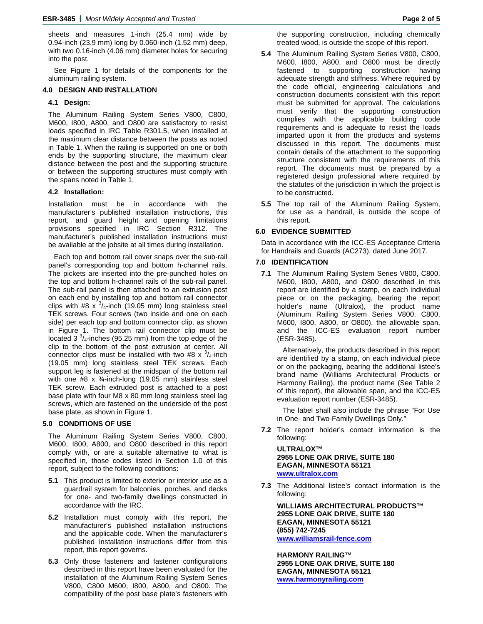sheets and measures 1-inch (25.4 mm) wide by 0.94-inch (23.9 mm) long by 0.060-inch (1.52 mm) deep, with two 0.16-inch (4.06 mm) diameter holes for securing into the post.

See Figure 1 for details of the components for the aluminum railing system.

#### **4.0 DESIGN AND INSTALLATION**

#### **4.1 Design:**

The Aluminum Railing System Series V800, C800, M600, I800, A800, and O800 are satisfactory to resist loads specified in IRC Table R301.5, when installed at the maximum clear distance between the posts as noted in Table 1. When the railing is supported on one or both ends by the supporting structure, the maximum clear distance between the post and the supporting structure or between the supporting structures must comply with the spans noted in Table 1.

#### **4.2 Installation:**

Installation must be in accordance with the manufacturer's published installation instructions, this report, and guard height and opening limitations provisions specified in IRC Section R312. The manufacturer's published installation instructions must be available at the jobsite at all times during installation.

Each top and bottom rail cover snaps over the sub-rail panel's corresponding top and bottom h-channel rails. The pickets are inserted into the pre-punched holes on the top and bottom h-channel rails of the sub-rail panel. The sub-rail panel is then attached to an extrusion post on each end by installing top and bottom rail connector clips with #8  $x^{-3}/$ <sub>4</sub>-inch (19.05 mm) long stainless steel TEK screws. Four screws (two inside and one on each side) per each top and bottom connector clip, as shown in Figure 1. The bottom rail connector clip must be located 3 $\frac{3}{4}$ -inches (95.25 mm) from the top edge of the clip to the bottom of the post extrusion at center. All connector clips must be installed with two #8  $\times$  <sup>3</sup>/<sub>4</sub>-inch (19.05 mm) long stainless steel TEK screws. Each support leg is fastened at the midspan of the bottom rail with one #8 x ¾-inch-long (19.05 mm) stainless steel TEK screw. Each extruded post is attached to a post base plate with four M8 x 80 mm long stainless steel lag screws, which are fastened on the underside of the post base plate, as shown in Figure 1.

#### **5.0 CONDITIONS OF USE**

The Aluminum Railing System Series V800, C800, M600, I800, A800, and O800 described in this report comply with, or are a suitable alternative to what is specified in, those codes listed in Section 1.0 of this report, subject to the following conditions:

- **5.1** This product is limited to exterior or interior use as a guardrail system for balconies, porches, and decks for one- and two-family dwellings constructed in accordance with the IRC.
- **5.2** Installation must comply with this report, the manufacturer's published installation instructions and the applicable code. When the manufacturer's published installation instructions differ from this report, this report governs.
- **5.3** Only those fasteners and fastener configurations described in this report have been evaluated for the installation of the Aluminum Railing System Series V800, C800 M600, I800, A800, and O800. The compatibility of the post base plate's fasteners with

the supporting construction, including chemically treated wood, is outside the scope of this report.

- **5.4** The Aluminum Railing System Series V800, C800, M600, I800, A800, and O800 must be directly fastened to supporting construction having adequate strength and stiffness. Where required by the code official, engineering calculations and construction documents consistent with this report must be submitted for approval. The calculations must verify that the supporting construction complies with the applicable building code requirements and is adequate to resist the loads imparted upon it from the products and systems discussed in this report. The documents must contain details of the attachment to the supporting structure consistent with the requirements of this report. The documents must be prepared by a registered design professional where required by the statutes of the jurisdiction in which the project is to be constructed.
- **5.5** The top rail of the Aluminum Railing System, for use as a handrail, is outside the scope of this report.

#### **6.0 EVIDENCE SUBMITTED**

Data in accordance with the ICC-ES Acceptance Criteria for Handrails and Guards (AC273), dated June 2017.

#### **7.0 IDENTIFICATION**

**7.1** The Aluminum Railing System Series V800, C800, M600, I800, A800, and O800 described in this report are identified by a stamp, on each individual piece or on the packaging, bearing the report holder's name (Ultralox), the product name (Aluminum Railing System Series V800, C800, M600, I800, A800, or O800), the allowable span, and the ICC-ES evaluation report number (ESR-3485).

Alternatively, the products described in this report are identified by a stamp, on each individual piece or on the packaging, bearing the additional listee's brand name (Williams Architectural Products or Harmony Railing), the product name (See Table 2 of this report), the allowable span, and the ICC-ES evaluation report number (ESR-3485).

The label shall also include the phrase "For Use in One- and Two-Family Dwellings Only."

**7.2** The report holder's contact information is the following:

**ULTRALOX™ 2955 LONE OAK DRIVE, SUITE 180 EAGAN, MINNESOTA 55121 [www.ultralox.com](http://www.ultralox.com/)**

**7.3** The Additional listee's contact information is the following:

**WILLIAMS ARCHITECTURAL PRODUCTS™ 2955 LONE OAK DRIVE, SUITE 180 EAGAN, MINNESOTA 55121 (855) 742-7245 [www.williamsrail-fence.com](http://www.williamsrail-fence.com/)**

**HARMONY RAILING™ 2955 LONE OAK DRIVE, SUITE 180 EAGAN, MINNESOTA 55121 [www.harmonyrailing.com](http://www.harmonyrailing.com/)**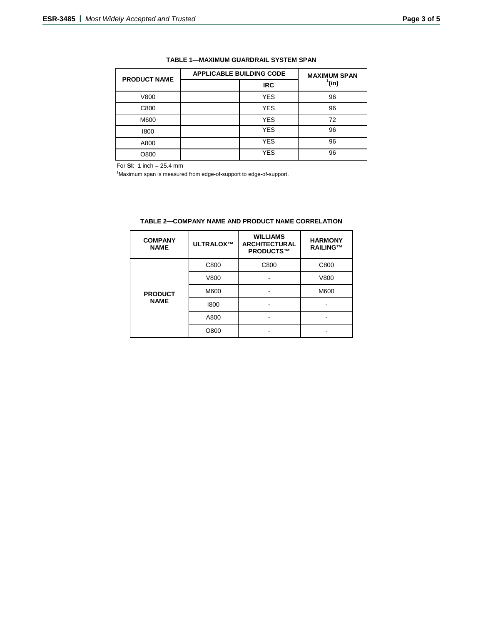| <b>PRODUCT NAME</b> | <b>APPLICABLE BUILDING CODE</b> |            | <b>MAXIMUM SPAN</b> |  |
|---------------------|---------------------------------|------------|---------------------|--|
|                     |                                 | <b>IRC</b> | $^1$ (in)           |  |
| V800                |                                 | <b>YES</b> | 96                  |  |
| C800                |                                 | <b>YES</b> | 96                  |  |
| M600                |                                 | <b>YES</b> | 72                  |  |
| 1800                |                                 | <b>YES</b> | 96                  |  |
| A800                |                                 | <b>YES</b> | 96                  |  |
| O800                |                                 | <b>YES</b> | 96                  |  |

### **TABLE 1—MAXIMUM GUARDRAIL SYSTEM SPAN**

For **SI**: 1 inch = 25.4 mm

<sup>1</sup>Maximum span is measured from edge-of-support to edge-of-support.

| <b>COMPANY</b><br><b>NAME</b> | ULTRALOX™ | <b>WILLIAMS</b><br><b>ARCHITECTURAL</b><br>PRODUCTS™ | <b>HARMONY</b><br>RAILING™ |
|-------------------------------|-----------|------------------------------------------------------|----------------------------|
| <b>PRODUCT</b><br><b>NAME</b> | C800      | C800                                                 | C800                       |
|                               | V800      |                                                      | V800                       |
|                               | M600      |                                                      | M600                       |
|                               | 1800      |                                                      |                            |
|                               | A800      |                                                      |                            |
|                               | O800      |                                                      |                            |

|  | TABLE 2—COMPANY NAME AND PRODUCT NAME CORRELATION |  |  |  |
|--|---------------------------------------------------|--|--|--|
|--|---------------------------------------------------|--|--|--|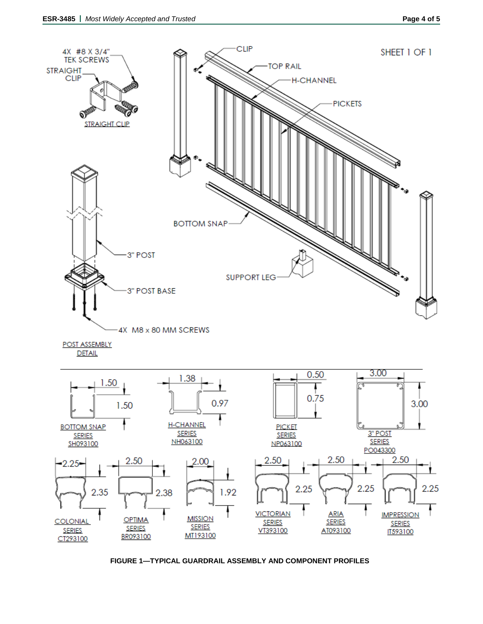

**FIGURE 1—TYPICAL GUARDRAIL ASSEMBLY AND COMPONENT PROFILES**